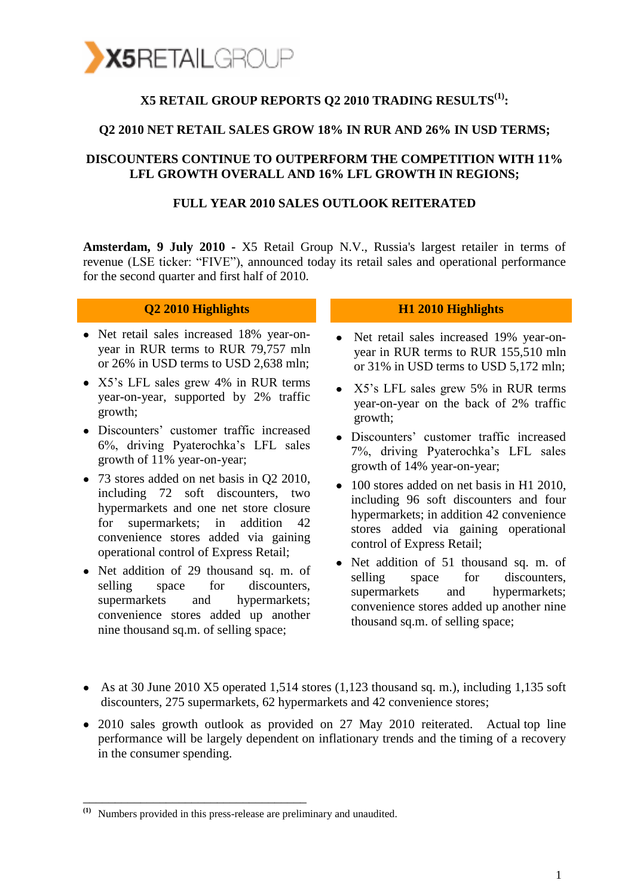

## **X5 RETAIL GROUP REPORTS Q2 2010 TRADING RESULTS(1):**

### **Q2 2010 NET RETAIL SALES GROW 18% IN RUR AND 26% IN USD TERMS;**

### **DISCOUNTERS CONTINUE TO OUTPERFORM THE COMPETITION WITH 11% LFL GROWTH OVERALL AND 16% LFL GROWTH IN REGIONS;**

### **FULL YEAR 2010 SALES OUTLOOK REITERATED**

**Amsterdam, 9 July 2010 -** X5 Retail Group N.V., Russia's largest retailer in terms of revenue (LSE ticker: "FIVE"), announced today its retail sales and operational performance for the second quarter and first half of 2010.

| Q2 2010 Highlights                                                                                                                                                                                                                               | H1 2010 Highlights                                                                                                                                                                                    |
|--------------------------------------------------------------------------------------------------------------------------------------------------------------------------------------------------------------------------------------------------|-------------------------------------------------------------------------------------------------------------------------------------------------------------------------------------------------------|
| • Net retail sales increased 18% year-on-                                                                                                                                                                                                        | • Net retail sales increased 19% year-on-                                                                                                                                                             |
| year in RUR terms to RUR 79,757 mln                                                                                                                                                                                                              | year in RUR terms to RUR 155,510 mln                                                                                                                                                                  |
| or 26% in USD terms to USD 2,638 mln;                                                                                                                                                                                                            | or 31% in USD terms to USD 5,172 mln;                                                                                                                                                                 |
| • X5's LFL sales grew 4% in RUR terms                                                                                                                                                                                                            | • X5's LFL sales grew 5% in RUR terms                                                                                                                                                                 |
| year-on-year, supported by 2% traffic                                                                                                                                                                                                            | year-on-year on the back of 2% traffic                                                                                                                                                                |
| growth;                                                                                                                                                                                                                                          | growth;                                                                                                                                                                                               |
| • Discounters' customer traffic increased                                                                                                                                                                                                        | • Discounters' customer traffic increased                                                                                                                                                             |
| 6%, driving Pyaterochka's LFL sales                                                                                                                                                                                                              | 7%, driving Pyaterochka's LFL sales                                                                                                                                                                   |
| growth of 11% year-on-year;                                                                                                                                                                                                                      | growth of 14% year-on-year;                                                                                                                                                                           |
| • 73 stores added on net basis in Q2 2010,<br>including 72 soft discounters, two<br>hypermarkets and one net store closure<br>for supermarkets; in addition 42<br>convenience stores added via gaining<br>operational control of Express Retail; | 100 stores added on net basis in H1 2010,<br>including 96 soft discounters and four<br>hypermarkets; in addition 42 convenience<br>stores added via gaining operational<br>control of Express Retail; |
| • Net addition of 29 thousand sq. m. of<br>selling space for<br>discounters,<br>supermarkets and hypermarkets;<br>convenience stores added up another                                                                                            | • Net addition of 51 thousand sq. m. of<br>selling<br>space for discounters,<br>supermarkets and hypermarkets;<br>convenience stores added up another nine<br>thousand sq.m. of selling space;        |

- As at 30 June 2010 X5 operated 1,514 stores (1,123 thousand sq. m.), including 1,135 soft discounters, 275 supermarkets, 62 hypermarkets and 42 convenience stores;
- 2010 sales growth outlook as provided on 27 May 2010 reiterated. Actual top line performance will be largely dependent on inflationary trends and the timing of a recovery in the consumer spending.

nine thousand sq.m. of selling space;

\_\_\_\_\_\_\_\_\_\_\_\_\_\_\_\_\_\_\_\_\_\_\_\_\_\_\_\_\_\_\_\_\_\_\_

**<sup>(1)</sup>** Numbers provided in this press-release are preliminary and unaudited.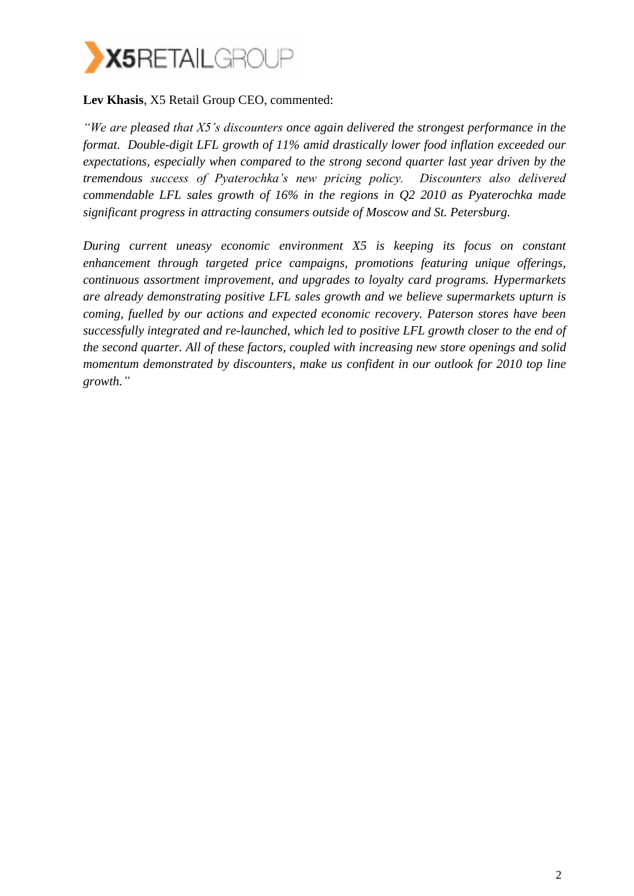

## **Lev Khasis**, X5 Retail Group CEO, commented:

*"We are pleased that X5's discounters once again delivered the strongest performance in the format. Double-digit LFL growth of 11% amid drastically lower food inflation exceeded our expectations, especially when compared to the strong second quarter last year driven by the tremendous success of Pyaterochka's new pricing policy. Discounters also delivered commendable LFL sales growth of 16% in the regions in Q2 2010 as Pyaterochka made significant progress in attracting consumers outside of Moscow and St. Petersburg.* 

*During current uneasy economic environment X5 is keeping its focus on constant enhancement through targeted price campaigns, promotions featuring unique offerings, continuous assortment improvement, and upgrades to loyalty card programs. Hypermarkets are already demonstrating positive LFL sales growth and we believe supermarkets upturn is coming, fuelled by our actions and expected economic recovery. Paterson stores have been successfully integrated and re-launched, which led to positive LFL growth closer to the end of the second quarter. All of these factors, coupled with increasing new store openings and solid momentum demonstrated by discounters, make us confident in our outlook for 2010 top line growth."*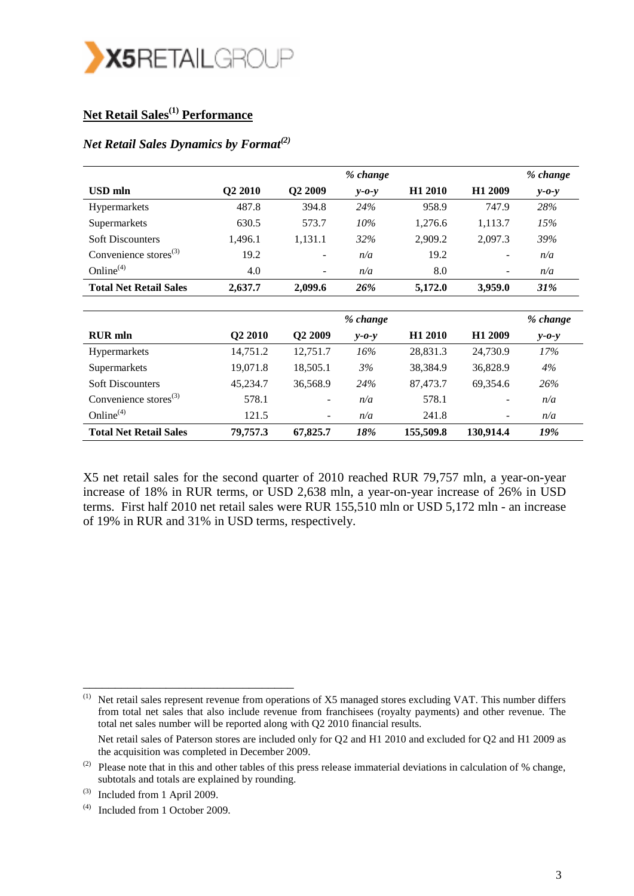

## **Net Retail Sales(1) Performance**

## *Net Retail Sales Dynamics by Format(2)*

|                               |                     |                          | % change    |                     |                     | % change    |
|-------------------------------|---------------------|--------------------------|-------------|---------------------|---------------------|-------------|
| <b>USD</b> mln                | Q <sub>2</sub> 2010 | Q <sub>2</sub> 2009      | $v$ -0- $v$ | H <sub>1</sub> 2010 | H <sub>1</sub> 2009 | $v$ -0- $v$ |
| Hypermarkets                  | 487.8               | 394.8                    | 24%         | 958.9               | 747.9               | 28%         |
| Supermarkets                  | 630.5               | 573.7                    | $10\%$      | 1,276.6             | 1,113.7             | 15%         |
| <b>Soft Discounters</b>       | 1,496.1             | 1,131.1                  | 32%         | 2,909.2             | 2,097.3             | 39%         |
| Convenience stores $^{(3)}$   | 19.2                | $\overline{\phantom{a}}$ | n/a         | 19.2                | -                   | n/a         |
| Online $(4)$                  | 4.0                 | $\overline{\phantom{a}}$ | n/a         | 8.0                 | -                   | n/a         |
| <b>Total Net Retail Sales</b> | 2,637.7             | 2,099.6                  | 26%         | 5,172.0             | 3.959.0             | 31%         |
|                               |                     |                          | % change    |                     |                     | % change    |
| <b>RUR</b> mln                | O <sub>2</sub> 2010 | O <sub>2</sub> 2009      | $v$ -0- $v$ | H <sub>1</sub> 2010 | H <sub>1</sub> 2009 | $v$ -0- $v$ |

| <b>RUR</b> mln                    | <b>O2 2010</b> | Q2 2009                  | $y - 0 - y$ | H <sub>1</sub> 2010 | H <sub>1</sub> 2009      | $y - 0 - y$ |
|-----------------------------------|----------------|--------------------------|-------------|---------------------|--------------------------|-------------|
| <b>Hypermarkets</b>               | 14,751.2       | 12,751.7                 | 16%         | 28,831.3            | 24,730.9                 | 17%         |
| Supermarkets                      | 19,071.8       | 18,505.1                 | 3%          | 38,384.9            | 36,828.9                 | 4%          |
| <b>Soft Discounters</b>           | 45,234.7       | 36,568.9                 | 24%         | 87,473.7            | 69,354.6                 | 26%         |
| Convenience stores <sup>(3)</sup> | 578.1          | $\overline{\phantom{a}}$ | n/a         | 578.1               | ۰.                       | n/a         |
| Online $(4)$                      | 121.5          | $\overline{\phantom{a}}$ | n/a         | 241.8               | $\overline{\phantom{a}}$ | n/a         |
| <b>Total Net Retail Sales</b>     | 79,757.3       | 67,825.7                 | 18%         | 155,509.8           | 130,914.4                | 19%         |

X5 net retail sales for the second quarter of 2010 reached RUR 79,757 mln, a year-on-year increase of 18% in RUR terms, or USD 2,638 mln, a year-on-year increase of 26% in USD terms. First half 2010 net retail sales were RUR 155,510 mln or USD 5,172 mln - an increase of 19% in RUR and 31% in USD terms, respectively.

(1) Net retail sales represent revenue from operations of X5 managed stores excluding VAT. This number differs from total net sales that also include revenue from franchisees (royalty payments) and other revenue. The total net sales number will be reported along with Q2 2010 financial results.

Net retail sales of Paterson stores are included only for Q2 and H1 2010 and excluded for Q2 and H1 2009 as the acquisition was completed in December 2009.

\_\_\_\_\_\_\_\_\_\_\_\_\_\_\_\_\_\_\_\_\_\_\_\_\_\_\_\_\_\_\_\_\_

<sup>(2)</sup> Please note that in this and other tables of this press release immaterial deviations in calculation of  $%$  change, subtotals and totals are explained by rounding.

<sup>(3)</sup> Included from 1 April 2009.

<sup>(4)</sup> Included from 1 October 2009.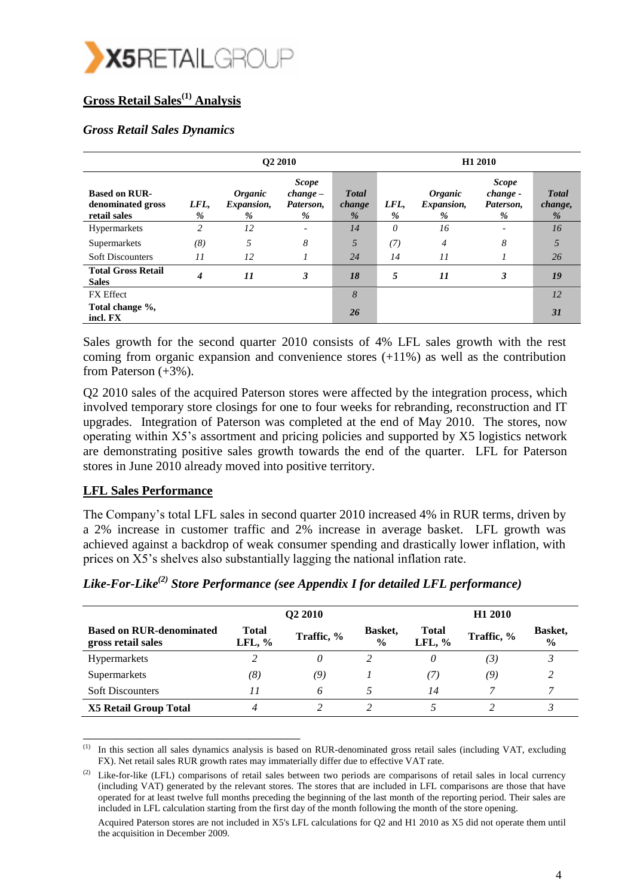

## **Gross Retail Sales(1) Analysis**

## *Gross Retail Sales Dynamics*

|                                                           |                | <b>O2 2010</b>                                  |                                             |                             |           | H1 2010                                         |                                            |                              |  |
|-----------------------------------------------------------|----------------|-------------------------------------------------|---------------------------------------------|-----------------------------|-----------|-------------------------------------------------|--------------------------------------------|------------------------------|--|
| <b>Based on RUR-</b><br>denominated gross<br>retail sales | LFL,<br>$\%$   | <i><b>Organic</b></i><br><i>Expansion,</i><br>% | <b>Scope</b><br>$change-$<br>Paterson,<br>% | <b>Total</b><br>change<br>% | LFL,<br>% | <i><b>Organic</b></i><br><i>Expansion,</i><br>% | <b>Scope</b><br>change -<br>Paterson,<br>% | <b>Total</b><br>change,<br>% |  |
| Hypermarkets                                              | $\overline{c}$ | 12                                              | $\overline{\phantom{a}}$                    | 14                          | $\theta$  | 16                                              | $\overline{\phantom{a}}$                   | 16                           |  |
| Supermarkets                                              | (8)            | 5                                               | 8                                           | 5                           | (7)       | 4                                               | 8                                          | 5                            |  |
| <b>Soft Discounters</b>                                   | 11             | 12                                              | $\prime$                                    | 24                          | 14        | 11                                              |                                            | 26                           |  |
| <b>Total Gross Retail</b><br><b>Sales</b>                 | 4              | 11                                              | 3                                           | <b>18</b>                   | 5         | 11                                              | 3                                          | 19                           |  |
| <b>FX</b> Effect                                          |                |                                                 |                                             | 8                           |           |                                                 |                                            | 12                           |  |
| Total change %,<br>incl. FX                               |                |                                                 |                                             | 26                          |           |                                                 |                                            | 31                           |  |

Sales growth for the second quarter 2010 consists of 4% LFL sales growth with the rest coming from organic expansion and convenience stores (+11%) as well as the contribution from Paterson (+3%).

Q2 2010 sales of the acquired Paterson stores were affected by the integration process, which involved temporary store closings for one to four weeks for rebranding, reconstruction and IT upgrades. Integration of Paterson was completed at the end of May 2010. The stores, now operating within X5's assortment and pricing policies and supported by X5 logistics network are demonstrating positive sales growth towards the end of the quarter. LFL for Paterson stores in June 2010 already moved into positive territory.

## **LFL Sales Performance**

\_\_\_\_\_\_\_\_\_\_\_\_\_\_\_\_\_\_\_\_\_\_\_\_\_\_\_\_\_\_\_\_\_\_

The Company's total LFL sales in second quarter 2010 increased 4% in RUR terms, driven by a 2% increase in customer traffic and 2% increase in average basket. LFL growth was achieved against a backdrop of weak consumer spending and drastically lower inflation, with prices on X5's shelves also substantially lagging the national inflation rate.

|                                                       |                    | Q <sub>2</sub> 2010 |                          | H <sub>1</sub> 2010      |            |                          |  |
|-------------------------------------------------------|--------------------|---------------------|--------------------------|--------------------------|------------|--------------------------|--|
| <b>Based on RUR-denominated</b><br>gross retail sales | Total<br>LFL, $\%$ | Traffic, %          | Basket,<br>$\frac{0}{0}$ | <b>Total</b><br>LFL, $%$ | Traffic, % | Basket,<br>$\frac{0}{0}$ |  |
| <b>Hypermarkets</b>                                   |                    | 0                   | າ                        | 0                        | (3)        | $\mathbf{P}$             |  |
| Supermarkets                                          | (8)                | (9)                 |                          | (7)                      | (9)        | $\mathcal{D}$            |  |
| <b>Soft Discounters</b>                               | 11                 | 6                   |                          | 14                       |            |                          |  |
| <b>X5 Retail Group Total</b>                          |                    |                     |                          |                          |            |                          |  |

*Like-For-Like(2) Store Performance (see Appendix I for detailed LFL performance)*

 $<sup>(1)</sup>$  In this section all sales dynamics analysis is based on RUR-denominated gross retail sales (including VAT, excluding</sup> FX). Net retail sales RUR growth rates may immaterially differ due to effective VAT rate.

Like-for-like (LFL) comparisons of retail sales between two periods are comparisons of retail sales in local currency (including VAT) generated by the relevant stores. The stores that are included in LFL comparisons are those that have operated for at least twelve full months preceding the beginning of the last month of the reporting period. Their sales are included in LFL calculation starting from the first day of the month following the month of the store opening.

Acquired Paterson stores are not included in X5's LFL calculations for Q2 and H1 2010 as X5 did not operate them until the acquisition in December 2009.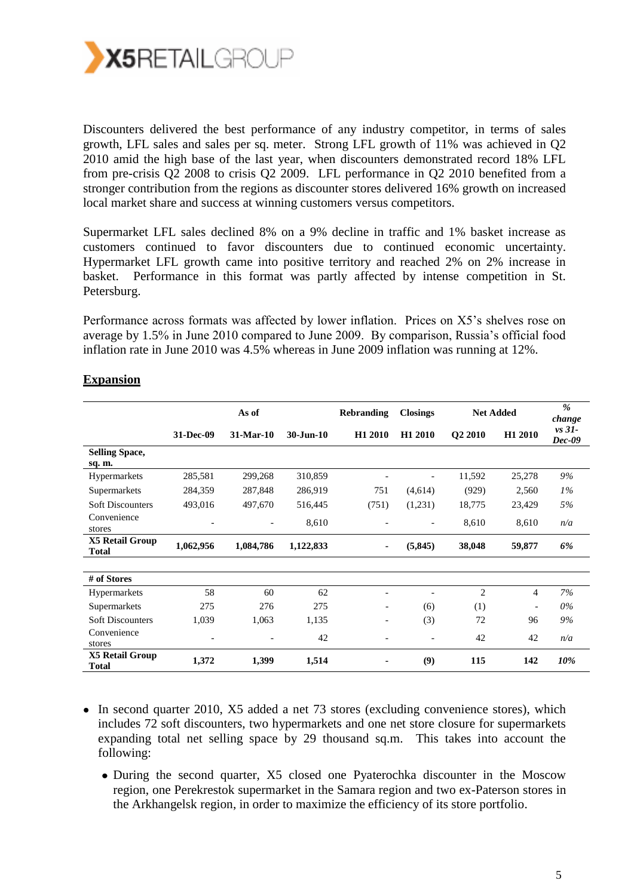

Discounters delivered the best performance of any industry competitor, in terms of sales growth, LFL sales and sales per sq. meter. Strong LFL growth of 11% was achieved in Q2 2010 amid the high base of the last year, when discounters demonstrated record 18% LFL from pre-crisis Q2 2008 to crisis Q2 2009. LFL performance in Q2 2010 benefited from a stronger contribution from the regions as discounter stores delivered 16% growth on increased local market share and success at winning customers versus competitors.

Supermarket LFL sales declined 8% on a 9% decline in traffic and 1% basket increase as customers continued to favor discounters due to continued economic uncertainty. Hypermarket LFL growth came into positive territory and reached 2% on 2% increase in basket. Performance in this format was partly affected by intense competition in St. Petersburg.

Performance across formats was affected by lower inflation. Prices on X5's shelves rose on average by 1.5% in June 2010 compared to June 2009. By comparison, Russia's official food inflation rate in June 2010 was 4.5% whereas in June 2009 inflation was running at 12%.

|                                        |                          | As of<br><b>Closings</b><br><b>Net Added</b><br><b>Rebranding</b> |               |                          |          | $\%$<br>change |                |                      |
|----------------------------------------|--------------------------|-------------------------------------------------------------------|---------------|--------------------------|----------|----------------|----------------|----------------------|
|                                        | 31-Dec-09                | 31-Mar-10                                                         | $30 - Jun-10$ | H1 2010                  | H1 2010  | Q2 2010        | H1 2010        | $vs$ 31-<br>$Dec-09$ |
| <b>Selling Space,</b><br>sq. m.        |                          |                                                                   |               |                          |          |                |                |                      |
| Hypermarkets                           | 285,581                  | 299,268                                                           | 310,859       |                          |          | 11,592         | 25,278         | 9%                   |
| Supermarkets                           | 284,359                  | 287,848                                                           | 286,919       | 751                      | (4,614)  | (929)          | 2,560          | $1\%$                |
| <b>Soft Discounters</b>                | 493,016                  | 497,670                                                           | 516,445       | (751)                    | (1,231)  | 18,775         | 23,429         | 5%                   |
| Convenience<br>stores                  | $\overline{\phantom{a}}$ |                                                                   | 8,610         |                          |          | 8,610          | 8,610          | n/a                  |
| <b>X5 Retail Group</b><br><b>Total</b> | 1,062,956                | 1,084,786                                                         | 1,122,833     | ۰                        | (5, 845) | 38,048         | 59,877         | 6%                   |
|                                        |                          |                                                                   |               |                          |          |                |                |                      |
| # of Stores                            |                          |                                                                   |               |                          |          |                |                |                      |
| Hypermarkets                           | 58                       | 60                                                                | 62            |                          |          | $\overline{2}$ | $\overline{4}$ | 7%                   |
| Supermarkets                           | 275                      | 276                                                               | 275           |                          | (6)      | (1)            |                | $0\%$                |
| <b>Soft Discounters</b>                | 1,039                    | 1,063                                                             | 1,135         | $\overline{\phantom{0}}$ | (3)      | 72             | 96             | 9%                   |
| Convenience<br>stores                  | $\overline{\phantom{a}}$ |                                                                   | 42            |                          |          | 42             | 42             | n/a                  |
| <b>X5 Retail Group</b><br><b>Total</b> | 1,372                    | 1,399                                                             | 1,514         |                          | (9)      | 115            | 142            | 10%                  |

## **Expansion**

- In second quarter 2010, X5 added a net 73 stores (excluding convenience stores), which includes 72 soft discounters, two hypermarkets and one net store closure for supermarkets expanding total net selling space by 29 thousand sq.m. This takes into account the following:
	- During the second quarter, X5 closed one Pyaterochka discounter in the Moscow region, one Perekrestok supermarket in the Samara region and two ex-Paterson stores in the Arkhangelsk region, in order to maximize the efficiency of its store portfolio.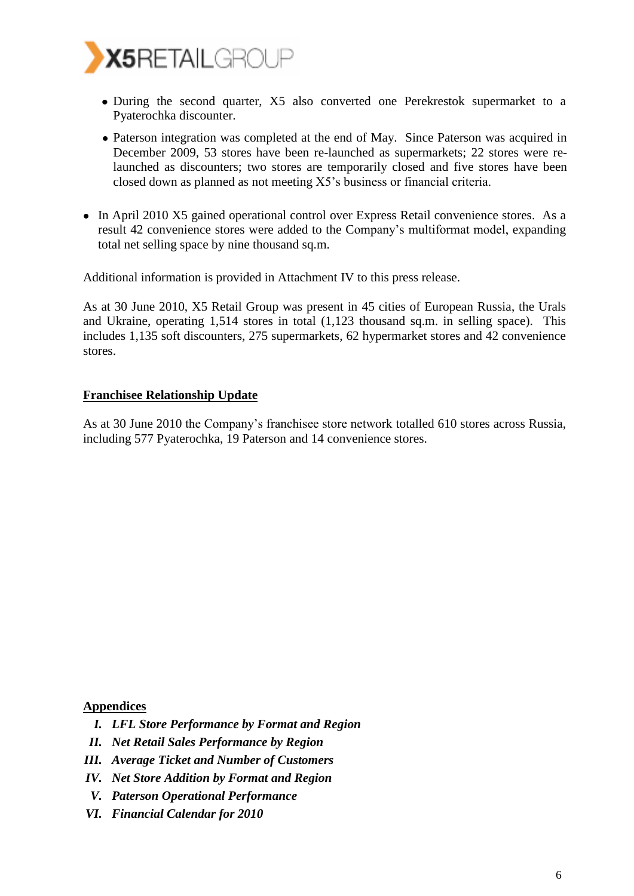

- During the second quarter, X5 also converted one Perekrestok supermarket to a Pyaterochka discounter.
- Paterson integration was completed at the end of May. Since Paterson was acquired in December 2009, 53 stores have been re-launched as supermarkets; 22 stores were relaunched as discounters; two stores are temporarily closed and five stores have been closed down as planned as not meeting X5's business or financial criteria.
- In April 2010 X5 gained operational control over Express Retail convenience stores. As a result 42 convenience stores were added to the Company's multiformat model, expanding total net selling space by nine thousand sq.m.

Additional information is provided in Attachment IV to this press release.

As at 30 June 2010, X5 Retail Group was present in 45 cities of European Russia, the Urals and Ukraine, operating 1,514 stores in total (1,123 thousand sq.m. in selling space). This includes 1,135 soft discounters, 275 supermarkets, 62 hypermarket stores and 42 convenience stores.

### **Franchisee Relationship Update**

As at 30 June 2010 the Company's franchisee store network totalled 610 stores across Russia, including 577 Pyaterochka, 19 Paterson and 14 convenience stores.

**Appendices**

- *I. LFL Store Performance by Format and Region*
- *II. Net Retail Sales Performance by Region*
- *III. Average Ticket and Number of Customers*
- *IV. Net Store Addition by Format and Region*
- *V. Paterson Operational Performance*
- *VI. Financial Calendar for 2010*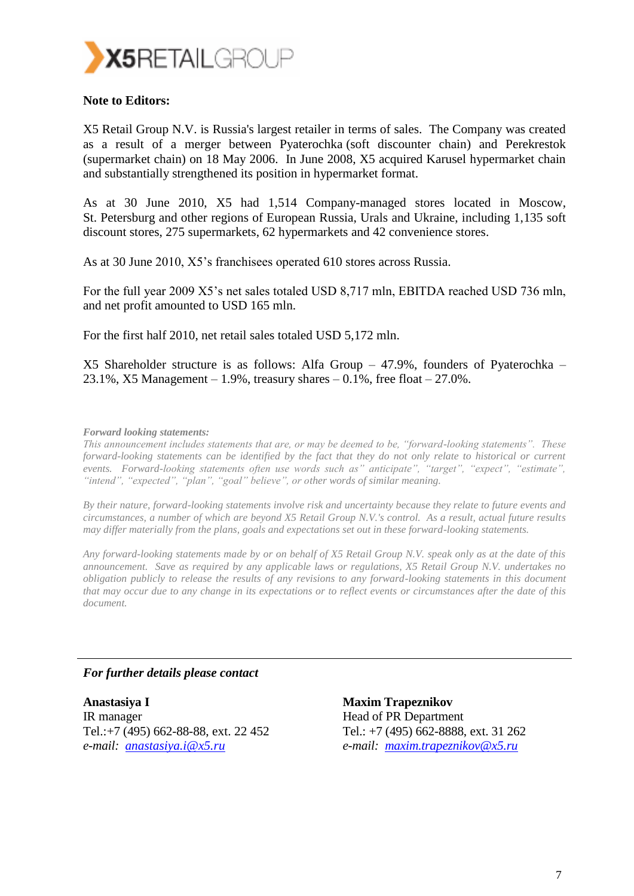

### **Note to Editors:**

X5 Retail Group N.V. is Russia's largest retailer in terms of sales. The Company was created as a result of a merger between Pyaterochka (soft discounter chain) and Perekrestok (supermarket chain) on 18 May 2006. In June 2008, X5 acquired Karusel hypermarket chain and substantially strengthened its position in hypermarket format.

As at 30 June 2010, X5 had 1,514 Company-managed stores located in Moscow, St. Petersburg and other regions of European Russia, Urals and Ukraine, including 1,135 soft discount stores, 275 supermarkets, 62 hypermarkets and 42 convenience stores.

As at 30 June 2010, X5's franchisees operated 610 stores across Russia.

For the full year 2009 X5's net sales totaled USD 8,717 mln, EBITDA reached USD 736 mln, and net profit amounted to USD 165 mln.

For the first half 2010, net retail sales totaled USD 5,172 mln.

X5 Shareholder structure is as follows: Alfa Group – 47.9%, founders of Pyaterochka – 23.1%, X5 Management – 1.9%, treasury shares – 0.1%, free float – 27.0%.

#### *Forward looking statements:*

*This announcement includes statements that are, or may be deemed to be, "forward-looking statements". These forward-looking statements can be identified by the fact that they do not only relate to historical or current events. Forward-looking statements often use words such as" anticipate", "target", "expect", "estimate", "intend", "expected", "plan", "goal" believe", or other words of similar meaning.*

*By their nature, forward-looking statements involve risk and uncertainty because they relate to future events and circumstances, a number of which are beyond X5 Retail Group N.V.'s control. As a result, actual future results may differ materially from the plans, goals and expectations set out in these forward-looking statements.* 

*Any forward-looking statements made by or on behalf of X5 Retail Group N.V. speak only as at the date of this announcement. Save as required by any applicable laws or regulations, X5 Retail Group N.V. undertakes no obligation publicly to release the results of any revisions to any forward-looking statements in this document that may occur due to any change in its expectations or to reflect events or circumstances after the date of this document.*

### *For further details please contact*

**Anastasiya I** IR manager Tel.[:+7 \(495\) 662-88-88,](http://www.plaxo.com/click_to_call?src=jj_signature&To=%2B7+(495)+984+6956+ext.+2103&Email=nikolai.romanov@x5.ru) ext. 22 452 *e-mail: anastasiya.i@x5.ru*

**Maxim Trapeznikov** Head of PR Department Tel.: +7 (495) 662-8888, ext. 31 262 *e-mail: [maxim.trapeznikov@x5.ru](mailto:maxim.trapeznikov@x5.ru)*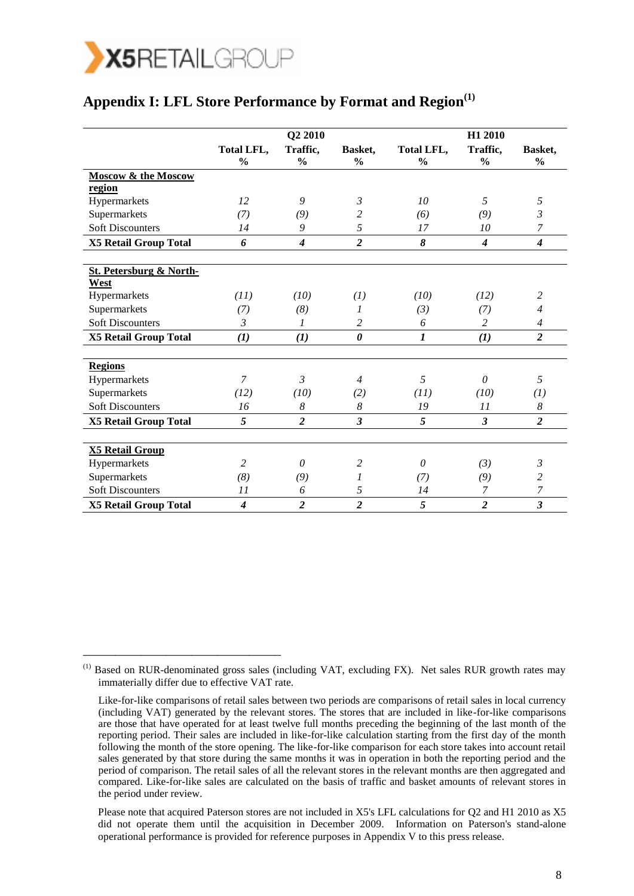

\_\_\_\_\_\_\_\_\_\_\_\_\_\_\_\_\_\_\_\_\_\_\_\_\_\_\_\_\_\_\_

## **Appendix I: LFL Store Performance by Format and Region(1)**

|                                    | Q2 2010                            |                           |                          |                             | H1 2010                   |                          |  |  |
|------------------------------------|------------------------------------|---------------------------|--------------------------|-----------------------------|---------------------------|--------------------------|--|--|
|                                    | <b>Total LFL,</b><br>$\frac{0}{0}$ | Traffic,<br>$\frac{0}{0}$ | Basket,<br>$\frac{6}{6}$ | Total LFL,<br>$\frac{0}{0}$ | Traffic,<br>$\frac{0}{0}$ | Basket,<br>$\frac{0}{0}$ |  |  |
| <b>Moscow &amp; the Moscow</b>     |                                    |                           |                          |                             |                           |                          |  |  |
| region                             |                                    |                           |                          |                             |                           |                          |  |  |
| Hypermarkets                       | 12                                 | 9                         | $\mathfrak{Z}$           | 10                          | 5                         | 5                        |  |  |
| Supermarkets                       | (7)                                | (9)                       | 2                        | (6)                         | (9)                       | 3                        |  |  |
| <b>Soft Discounters</b>            | 14                                 | 9                         | 5                        | 17                          | 10                        | 7                        |  |  |
| <b>X5 Retail Group Total</b>       | 6                                  | $\boldsymbol{4}$          | $\overline{2}$           | 8                           | $\boldsymbol{4}$          | $\boldsymbol{4}$         |  |  |
| <b>St. Petersburg &amp; North-</b> |                                    |                           |                          |                             |                           |                          |  |  |
| West                               |                                    |                           |                          |                             |                           |                          |  |  |
| Hypermarkets                       | (11)                               | (10)                      | (1)                      | (10)                        | (12)                      | 2                        |  |  |
| Supermarkets                       | (7)                                | (8)                       | 1                        | (3)                         | (7)                       | $\overline{4}$           |  |  |
| <b>Soft Discounters</b>            | $\mathcal{E}$                      | 1                         | $\overline{c}$           | 6                           | 2                         | $\overline{4}$           |  |  |
| <b>X5 Retail Group Total</b>       | (1)                                | $\bf(1)$                  | $\boldsymbol{\theta}$    | $\boldsymbol{l}$            | (1)                       | $\overline{a}$           |  |  |
| <b>Regions</b>                     |                                    |                           |                          |                             |                           |                          |  |  |
| Hypermarkets                       | $\overline{7}$                     | 3                         | $\overline{4}$           | 5                           | $\theta$                  | 5                        |  |  |
| Supermarkets                       | (12)                               | (10)                      | (2)                      | (11)                        | (10)                      | (1)                      |  |  |
| <b>Soft Discounters</b>            | 16                                 | 8                         | 8                        | 19                          | 11                        | 8                        |  |  |
| <b>X5 Retail Group Total</b>       | 5                                  | $\overline{2}$            | $\mathfrak{z}$           | 5                           | 3                         | $\overline{2}$           |  |  |
|                                    |                                    |                           |                          |                             |                           |                          |  |  |
| <b>X5 Retail Group</b>             |                                    |                           |                          |                             |                           |                          |  |  |
| Hypermarkets                       | $\overline{2}$                     | 0                         | $\overline{c}$           | 0                           | (3)                       | 3                        |  |  |
| Supermarkets                       | (8)                                | (9)                       | 1                        | (7)                         | (9)                       | 2                        |  |  |
| <b>Soft Discounters</b>            | 11                                 | 6                         | 5                        | 14                          | 7                         | 7                        |  |  |
| <b>X5 Retail Group Total</b>       | $\boldsymbol{4}$                   | $\overline{\mathbf{c}}$   | $\overline{2}$           | 5                           | $\overline{2}$            | $\mathfrak{z}$           |  |  |

Please note that acquired Paterson stores are not included in X5's LFL calculations for Q2 and H1 2010 as X5 did not operate them until the acquisition in December 2009. Information on Paterson's stand-alone operational performance is provided for reference purposes in Appendix V to this press release.

<sup>(1)</sup> Based on RUR-denominated gross sales (including VAT, excluding FX). Net sales RUR growth rates may immaterially differ due to effective VAT rate.

Like-for-like comparisons of retail sales between two periods are comparisons of retail sales in local currency (including VAT) generated by the relevant stores. The stores that are included in like-for-like comparisons are those that have operated for at least twelve full months preceding the beginning of the last month of the reporting period. Their sales are included in like-for-like calculation starting from the first day of the month following the month of the store opening. The like-for-like comparison for each store takes into account retail sales generated by that store during the same months it was in operation in both the reporting period and the period of comparison. The retail sales of all the relevant stores in the relevant months are then aggregated and compared. Like-for-like sales are calculated on the basis of traffic and basket amounts of relevant stores in the period under review.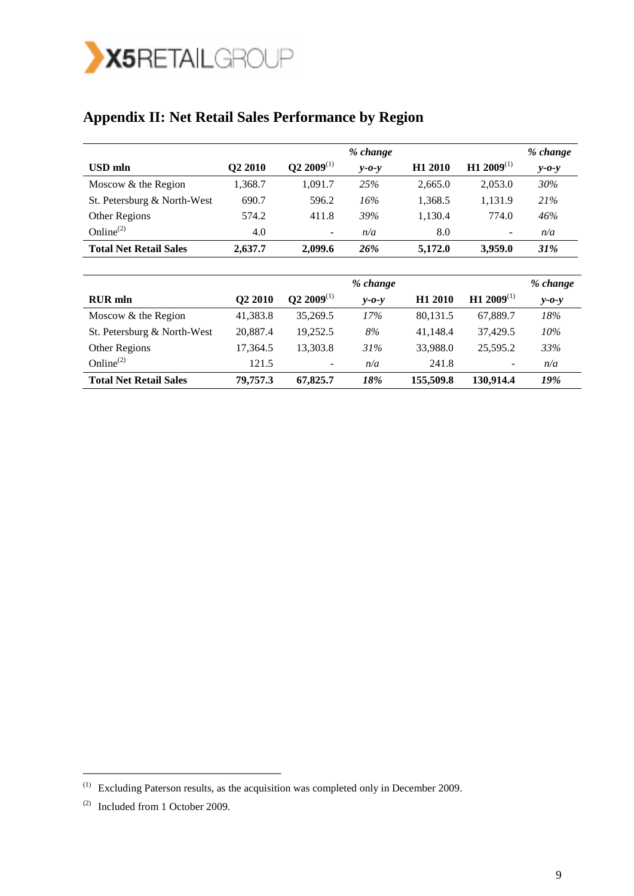

# **Appendix II: Net Retail Sales Performance by Region**

|                               |                     |                          | % change    |                     |                          | % change        |
|-------------------------------|---------------------|--------------------------|-------------|---------------------|--------------------------|-----------------|
| USD mln                       | Q2 2010             | $Q2 2009$ <sup>(1)</sup> | $v$ -0- $v$ | H <sub>1</sub> 2010 | H1 2009 <sup>(1)</sup>   | $v$ - $o$ - $v$ |
| Moscow & the Region           | 1,368.7             | 1,091.7                  | 25%         | 2,665.0             | 2,053.0                  | 30%             |
| St. Petersburg & North-West   | 690.7               | 596.2                    | 16%         | 1,368.5             | 1,131.9                  | 21%             |
| Other Regions                 | 574.2               | 411.8                    | 39%         | 1,130.4             | 774.0                    | 46%             |
| Online $^{(2)}$               | 4.0                 | $\overline{\phantom{a}}$ | n/a         | 8.0                 | $\overline{\phantom{a}}$ | n/a             |
| <b>Total Net Retail Sales</b> | 2,637.7             | 2,099.6                  | 26%         | 5,172.0             | 3,959.0                  | 31%             |
|                               |                     |                          |             |                     |                          |                 |
|                               |                     |                          | % change    |                     |                          | % change        |
| <b>RUR</b> mln                | Q <sub>2</sub> 2010 | $Q2 2009$ <sup>(1)</sup> | $v$ -0- $v$ | H <sub>1</sub> 2010 | H1 2009 <sup>(1)</sup>   | $v$ -0- $v$     |
| Moscow & the Region           | 41,383.8            | 35,269.5                 | 17%         | 80,131.5            | 67,889.7                 | 18%             |
| St. Petersburg & North-West   | 20,887.4            | 19,252.5                 | 8%          | 41,148.4            | 37,429.5                 | 10%             |
| Other Regions                 | 17,364.5            | 13,303.8                 | 31%         | 33,988.0            | 25,595.2                 | 33%             |
| Online $^{(2)}$               | 121.5               |                          | n/a         | 241.8               |                          | n/a             |
| <b>Total Net Retail Sales</b> | 79,757.3            | 67,825.7                 | 18%         | 155,509.8           | 130,914.4                | 19%             |

 $\mathcal{L}=\mathcal{L}=\mathcal{L}=\mathcal{L}=\mathcal{L}$ 

 $(1)$  Excluding Paterson results, as the acquisition was completed only in December 2009.

<sup>(2)</sup> Included from 1 October 2009.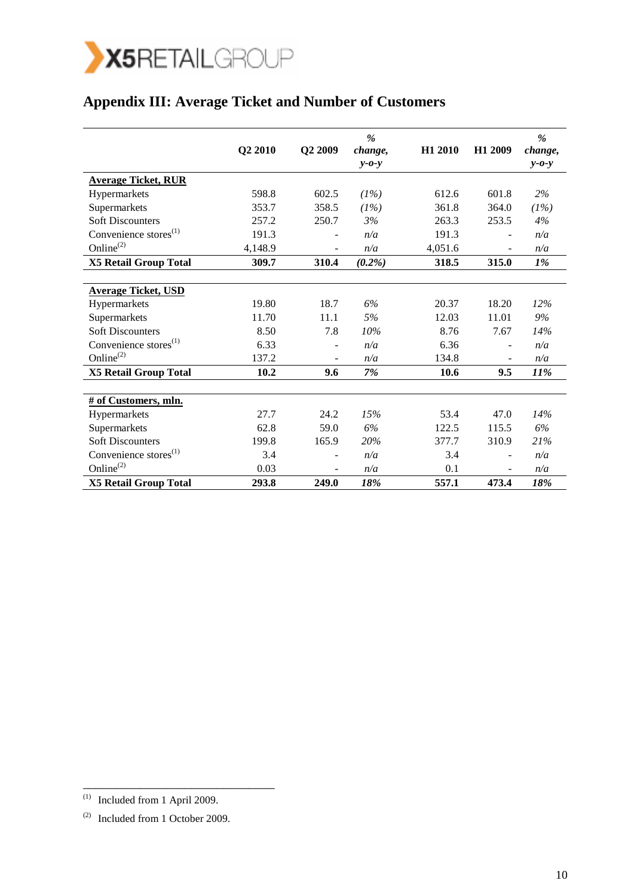

# **Appendix III: Average Ticket and Number of Customers**

|                                   | Q2 2010 | Q2 2009 | %<br>change,<br>$y - 0 - y$ | H1 2010 | H1 2009 | %<br>change,<br>$y - 0 - y$ |
|-----------------------------------|---------|---------|-----------------------------|---------|---------|-----------------------------|
| <b>Average Ticket, RUR</b>        |         |         |                             |         |         |                             |
| Hypermarkets                      | 598.8   | 602.5   | (1%)                        | 612.6   | 601.8   | 2%                          |
| Supermarkets                      | 353.7   | 358.5   | (1%)                        | 361.8   | 364.0   | (1%)                        |
| <b>Soft Discounters</b>           | 257.2   | 250.7   | 3%                          | 263.3   | 253.5   | 4%                          |
| Convenience stores <sup>(1)</sup> | 191.3   | ٠       | n/a                         | 191.3   |         | n/a                         |
| Online $^{(2)}$                   | 4,148.9 |         | n/a                         | 4,051.6 |         | n/a                         |
| <b>X5 Retail Group Total</b>      | 309.7   | 310.4   | $(0.2\%)$                   | 318.5   | 315.0   | 1%                          |
|                                   |         |         |                             |         |         |                             |
| <b>Average Ticket, USD</b>        |         |         |                             |         |         |                             |
| Hypermarkets                      | 19.80   | 18.7    | 6%                          | 20.37   | 18.20   | 12%                         |
| Supermarkets                      | 11.70   | 11.1    | 5%                          | 12.03   | 11.01   | 9%                          |
| <b>Soft Discounters</b>           | 8.50    | 7.8     | 10%                         | 8.76    | 7.67    | 14%                         |
| Convenience stores $(1)$          | 6.33    |         | n/a                         | 6.36    |         | n/a                         |
| Online <sup>(2)</sup>             | 137.2   |         | n/a                         | 134.8   |         | n/a                         |
| <b>X5 Retail Group Total</b>      | 10.2    | 9.6     | 7%                          | 10.6    | 9.5     | 11%                         |
|                                   |         |         |                             |         |         |                             |
| # of Customers, mln.              |         |         |                             |         |         |                             |
| Hypermarkets                      | 27.7    | 24.2    | 15%                         | 53.4    | 47.0    | 14%                         |
| Supermarkets                      | 62.8    | 59.0    | 6%                          | 122.5   | 115.5   | 6%                          |
| <b>Soft Discounters</b>           | 199.8   | 165.9   | 20%                         | 377.7   | 310.9   | 21%                         |
| Convenience stores <sup>(1)</sup> | 3.4     |         | n/a                         | 3.4     |         | n/a                         |
| Online $^{(2)}$                   | 0.03    |         | n/a                         | 0.1     |         | n/a                         |
| <b>X5 Retail Group Total</b>      | 293.8   | 249.0   | 18%                         | 557.1   | 473.4   | 18%                         |

\_\_\_\_\_\_\_\_\_\_\_\_\_\_\_\_\_\_\_\_\_\_\_\_\_\_\_\_\_\_

 $^{(1)}$  Included from 1 April 2009.

<sup>(2)</sup> Included from 1 October 2009.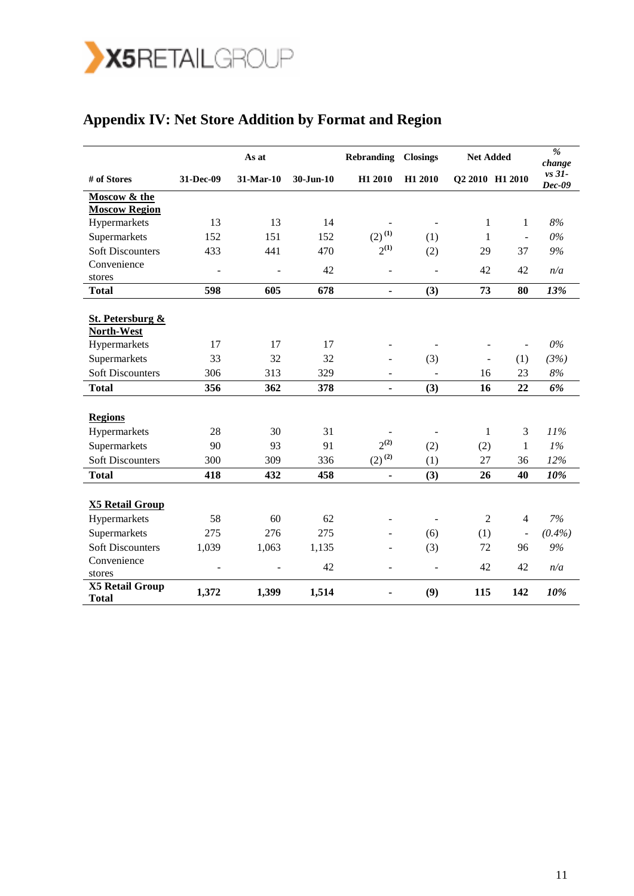

|                                        | As at          |           |               | <b>Rebranding</b>                     | <b>Closings</b>          | <b>Net Added</b> |                          | $\overline{\mathcal{C}}$<br>change |
|----------------------------------------|----------------|-----------|---------------|---------------------------------------|--------------------------|------------------|--------------------------|------------------------------------|
| # of Stores                            | 31-Dec-09      | 31-Mar-10 | $30 - Jun-10$ | H1 2010                               | H1 2010                  | Q2 2010 H1 2010  |                          | $vs$ 31-<br>Dec-09                 |
| Moscow & the                           |                |           |               |                                       |                          |                  |                          |                                    |
| <b>Moscow Region</b>                   |                |           |               |                                       |                          |                  |                          |                                    |
| Hypermarkets                           | 13             | 13        | 14            |                                       | $\overline{\phantom{a}}$ | 1                | $\mathbf{1}$             | $8\%$                              |
| Supermarkets                           | 152            | 151       | 152           | $\left( 2\right) ^{\left( 1\right) }$ | (1)                      | 1                | $\overline{\phantom{a}}$ | $0\%$                              |
| <b>Soft Discounters</b>                | 433            | 441       | 470           | $2^{(1)}$                             | (2)                      | 29               | 37                       | 9%                                 |
| Convenience                            | ÷,             | L,        | 42            | $\overline{\phantom{m}}$              | ÷,                       | 42               | 42                       | n/a                                |
| stores                                 |                |           |               |                                       |                          |                  |                          |                                    |
| <b>Total</b>                           | 598            | 605       | 678           | $\qquad \qquad \blacksquare$          | (3)                      | 73               | 80                       | 13%                                |
|                                        |                |           |               |                                       |                          |                  |                          |                                    |
| <b>St. Petersburg &amp;</b>            |                |           |               |                                       |                          |                  |                          |                                    |
| North-West                             |                |           |               |                                       |                          |                  |                          |                                    |
| Hypermarkets                           | 17             | 17        | 17            |                                       |                          |                  |                          | $0\%$                              |
| Supermarkets                           | 33             | 32        | 32            | $\overline{a}$                        | (3)                      | ÷,               | (1)                      | (3%)                               |
| <b>Soft Discounters</b>                | 306            | 313       | 329           | $\overline{\phantom{a}}$              | ÷,                       | 16               | 23                       | $8\%$                              |
| <b>Total</b>                           | 356            | 362       | 378           | $\blacksquare$                        | (3)                      | 16               | 22                       | 6%                                 |
|                                        |                |           |               |                                       |                          |                  |                          |                                    |
| <b>Regions</b>                         |                |           |               |                                       |                          |                  |                          |                                    |
| Hypermarkets                           | 28             | 30        | 31            |                                       | $\overline{\phantom{a}}$ | $\mathbf{1}$     | 3                        | 11%                                |
| Supermarkets                           | 90             | 93        | 91            | $2^{(2)}$                             | (2)                      | (2)              | $\mathbf{1}$             | 1%                                 |
| <b>Soft Discounters</b>                | 300            | 309       | 336           | $(2)^{(2)}$                           | (1)                      | 27               | 36                       | 12%                                |
| <b>Total</b>                           | 418            | 432       | 458           | $\blacksquare$                        | (3)                      | 26               | 40                       | 10%                                |
|                                        |                |           |               |                                       |                          |                  |                          |                                    |
| <b>X5 Retail Group</b>                 |                |           |               |                                       |                          |                  |                          |                                    |
| Hypermarkets                           | 58             | 60        | 62            | $\sim$                                |                          | 2                | $\overline{4}$           | 7%                                 |
| Supermarkets                           | 275            | 276       | 275           |                                       | (6)                      | (1)              | $\overline{\phantom{m}}$ | (0.4%)                             |
| <b>Soft Discounters</b>                | 1,039          | 1,063     | 1,135         | ٠                                     | (3)                      | 72               | 96                       | 9%                                 |
| Convenience                            |                |           | 42            |                                       |                          |                  |                          |                                    |
| stores                                 | $\blacksquare$ | ÷,        |               | $\overline{\phantom{a}}$              | $\overline{a}$           | 42               | 42                       | n/a                                |
| <b>X5 Retail Group</b><br><b>Total</b> | 1,372          | 1,399     | 1,514         | $\blacksquare$                        | (9)                      | 115              | 142                      | 10%                                |

## **Appendix IV: Net Store Addition by Format and Region**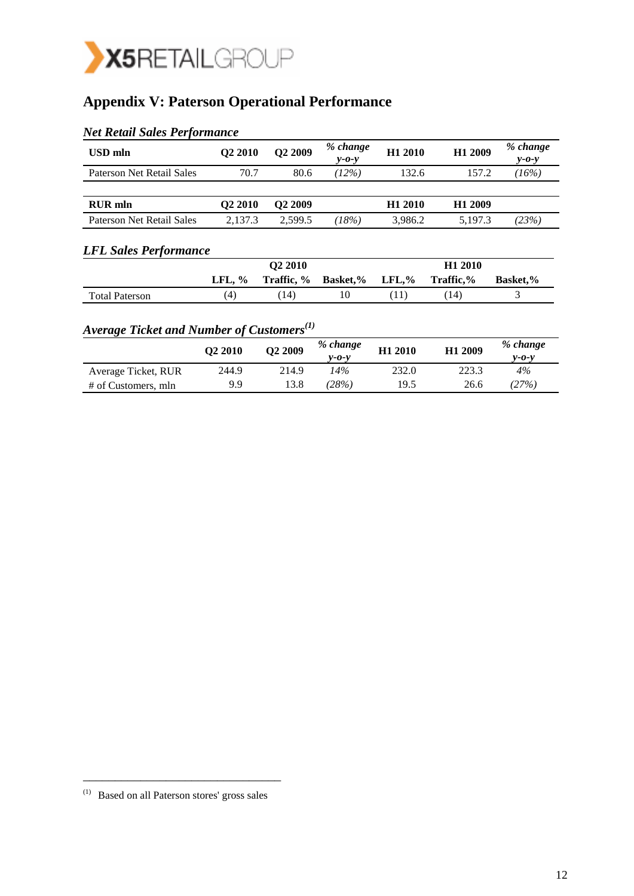

## **Appendix V: Paterson Operational Performance**

| USD mln                   | Q <sub>2</sub> 2010 | Q2 2009             | % change<br>$y - 0 - y$ | H1 2010             | H1 2009             | % change<br>$y - 0 - y$ |
|---------------------------|---------------------|---------------------|-------------------------|---------------------|---------------------|-------------------------|
| Paterson Net Retail Sales | 70.7                | 80.6                | (12%)                   | 132.6               | 157.2               | (16%)                   |
|                           |                     |                     |                         |                     |                     |                         |
| <b>RUR</b> mln            | O <sub>2</sub> 2010 | O <sub>2</sub> 2009 |                         | H <sub>1</sub> 2010 | H <sub>1</sub> 2009 |                         |
| Paterson Net Retail Sales | 2.137.3             | 2.599.5             | (18%)                   | 3.986.2             | 5.197.3             | (23%)                   |

## *Net Retail Sales Performance*

### *LFL Sales Performance*

|                       |                | O <sub>2</sub> 2010 |                                        |  | H <sub>1</sub> 2010 |                 |  |  |
|-----------------------|----------------|---------------------|----------------------------------------|--|---------------------|-----------------|--|--|
|                       | LFL, $\%$      |                     | Traffic, % Basket, % LFL, % Traffic, % |  |                     | <b>Basket.%</b> |  |  |
| <b>Total Paterson</b> | $\overline{4}$ | 14)                 | 10                                     |  | 14)                 |                 |  |  |

## *Average Ticket and Number of Customers(1)*

|                     | O <sub>2</sub> 2010 | O <sub>2</sub> 2009 | % change<br>$v$ -0-v | H <sub>1</sub> 2010 | H1 2009 | % change<br>v-0-v |
|---------------------|---------------------|---------------------|----------------------|---------------------|---------|-------------------|
| Average Ticket, RUR | 244.9               | 214.9               | 14%                  | 232.0               | 223.3   | $4\%$             |
| # of Customers, mln | 9.9                 | 13.8                | 28%)                 | 19.5                | 26.6    | (27%)             |

\_\_\_\_\_\_\_\_\_\_\_\_\_\_\_\_\_\_\_\_\_\_\_\_\_\_\_\_\_\_\_

<sup>(1)</sup> Based on all Paterson stores' gross sales